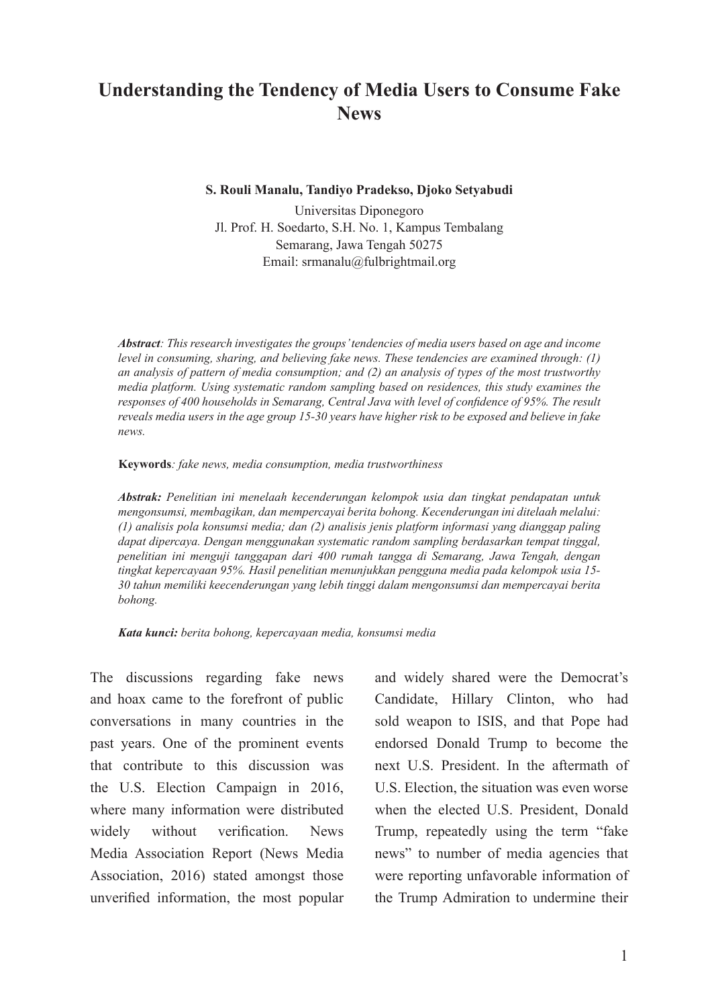# **Understanding the Tendency of Media Users to Consume Fake News**

**S. Rouli Manalu, Tandiyo Pradekso, Djoko Setyabudi**

Universitas Diponegoro Jl. Prof. H. Soedarto, S.H. No. 1, Kampus Tembalang Semarang, Jawa Tengah 50275 Email: srmanalu@fulbrightmail.org

*Abstract: This research investigates the groups' tendencies of media users based on age and income level in consuming, sharing, and believing fake news. These tendencies are examined through: (1) an analysis of pattern of media consumption; and (2) an analysis of types of the most trustworthy media platform. Using systematic random sampling based on residences, this study examines the responses of 400 households in Semarang, Central Java with level of confidence of 95%. The result reveals media users in the age group 15-30 years have higher risk to be exposed and believe in fake news.* 

#### **Keywords***: fake news, media consumption, media trustworthiness*

*Abstrak: Penelitian ini menelaah kecenderungan kelompok usia dan tingkat pendapatan untuk mengonsumsi, membagikan, dan mempercayai berita bohong. Kecenderungan ini ditelaah melalui: (1) analisis pola konsumsi media; dan (2) analisis jenis platform informasi yang dianggap paling dapat dipercaya. Dengan menggunakan systematic random sampling berdasarkan tempat tinggal, penelitian ini menguji tanggapan dari 400 rumah tangga di Semarang, Jawa Tengah, dengan tingkat kepercayaan 95%. Hasil penelitian menunjukkan pengguna media pada kelompok usia 15- 30 tahun memiliki keecenderungan yang lebih tinggi dalam mengonsumsi dan mempercayai berita bohong.*

*Kata kunci: berita bohong, kepercayaan media, konsumsi media*

The discussions regarding fake news and hoax came to the forefront of public conversations in many countries in the past years. One of the prominent events that contribute to this discussion was the U.S. Election Campaign in 2016, where many information were distributed widely without verification. News Media Association Report (News Media Association, 2016) stated amongst those unverified information, the most popular

and widely shared were the Democrat's Candidate, Hillary Clinton, who had sold weapon to ISIS, and that Pope had endorsed Donald Trump to become the next U.S. President. In the aftermath of U.S. Election, the situation was even worse when the elected U.S. President, Donald Trump, repeatedly using the term "fake news" to number of media agencies that were reporting unfavorable information of the Trump Admiration to undermine their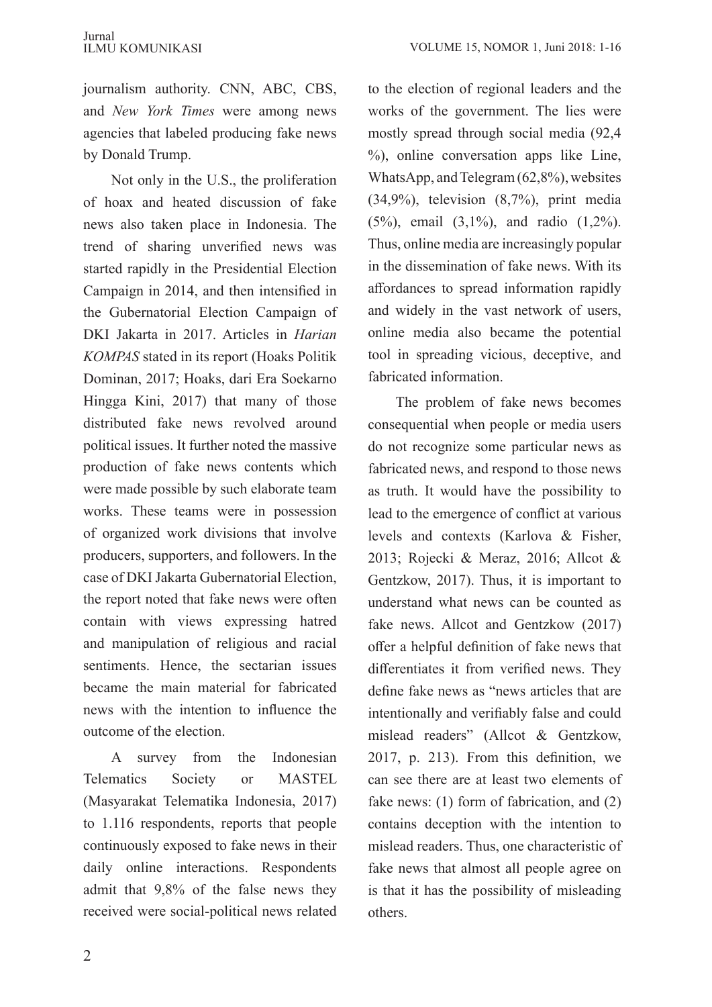journalism authority. CNN, ABC, CBS, and *New York Times* were among news agencies that labeled producing fake news by Donald Trump.

Not only in the U.S., the proliferation of hoax and heated discussion of fake news also taken place in Indonesia. The trend of sharing unverified news was started rapidly in the Presidential Election Campaign in 2014, and then intensified in the Gubernatorial Election Campaign of DKI Jakarta in 2017. Articles in *Harian KOMPAS* stated in its report (Hoaks Politik Dominan, 2017; Hoaks, dari Era Soekarno Hingga Kini, 2017) that many of those distributed fake news revolved around political issues. It further noted the massive production of fake news contents which were made possible by such elaborate team works. These teams were in possession of organized work divisions that involve producers, supporters, and followers. In the case of DKI Jakarta Gubernatorial Election, the report noted that fake news were often contain with views expressing hatred and manipulation of religious and racial sentiments. Hence, the sectarian issues became the main material for fabricated news with the intention to influence the outcome of the election.

A survey from the Indonesian Telematics Society or MASTEL (Masyarakat Telematika Indonesia, 2017) to 1.116 respondents, reports that people continuously exposed to fake news in their daily online interactions. Respondents admit that 9,8% of the false news they received were social-political news related to the election of regional leaders and the works of the government. The lies were mostly spread through social media (92,4 %), online conversation apps like Line, WhatsApp, and Telegram (62,8%), websites (34,9%), television (8,7%), print media (5%), email (3,1%), and radio (1,2%). Thus, online media are increasingly popular in the dissemination of fake news. With its affordances to spread information rapidly and widely in the vast network of users, online media also became the potential tool in spreading vicious, deceptive, and fabricated information.

The problem of fake news becomes consequential when people or media users do not recognize some particular news as fabricated news, and respond to those news as truth. It would have the possibility to lead to the emergence of conflict at various levels and contexts (Karlova & Fisher, 2013; Rojecki & Meraz, 2016; Allcot & Gentzkow, 2017). Thus, it is important to understand what news can be counted as fake news. Allcot and Gentzkow (2017) offer a helpful definition of fake news that differentiates it from verified news. They define fake news as "news articles that are intentionally and verifiably false and could mislead readers" (Allcot & Gentzkow, 2017, p. 213). From this definition, we can see there are at least two elements of fake news: (1) form of fabrication, and (2) contains deception with the intention to mislead readers. Thus, one characteristic of fake news that almost all people agree on is that it has the possibility of misleading others.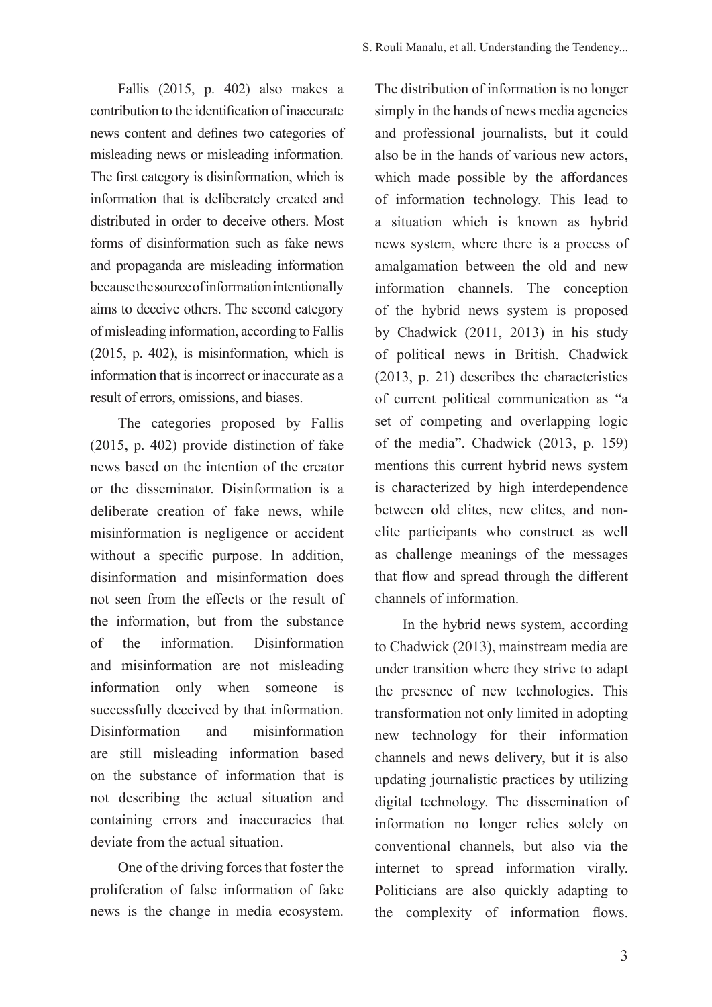Fallis (2015, p. 402) also makes a contribution to the identification of inaccurate news content and defines two categories of misleading news or misleading information. The first category is disinformation, which is information that is deliberately created and distributed in order to deceive others. Most forms of disinformation such as fake news and propaganda are misleading information because the source of information intentionally aims to deceive others. The second category of misleading information, according to Fallis (2015, p. 402), is misinformation, which is information that is incorrect or inaccurate as a result of errors, omissions, and biases.

The categories proposed by Fallis (2015, p. 402) provide distinction of fake news based on the intention of the creator or the disseminator. Disinformation is a deliberate creation of fake news, while misinformation is negligence or accident without a specific purpose. In addition, disinformation and misinformation does not seen from the effects or the result of the information, but from the substance of the information. Disinformation and misinformation are not misleading information only when someone is successfully deceived by that information. Disinformation and misinformation are still misleading information based on the substance of information that is not describing the actual situation and containing errors and inaccuracies that deviate from the actual situation.

One of the driving forces that foster the proliferation of false information of fake news is the change in media ecosystem.

The distribution of information is no longer simply in the hands of news media agencies and professional journalists, but it could also be in the hands of various new actors, which made possible by the affordances of information technology. This lead to a situation which is known as hybrid news system, where there is a process of amalgamation between the old and new information channels. The conception of the hybrid news system is proposed by Chadwick (2011, 2013) in his study of political news in British. Chadwick (2013, p. 21) describes the characteristics of current political communication as "a set of competing and overlapping logic of the media". Chadwick (2013, p. 159) mentions this current hybrid news system is characterized by high interdependence between old elites, new elites, and nonelite participants who construct as well as challenge meanings of the messages that flow and spread through the different channels of information.

In the hybrid news system, according to Chadwick (2013), mainstream media are under transition where they strive to adapt the presence of new technologies. This transformation not only limited in adopting new technology for their information channels and news delivery, but it is also updating journalistic practices by utilizing digital technology. The dissemination of information no longer relies solely on conventional channels, but also via the internet to spread information virally. Politicians are also quickly adapting to the complexity of information flows.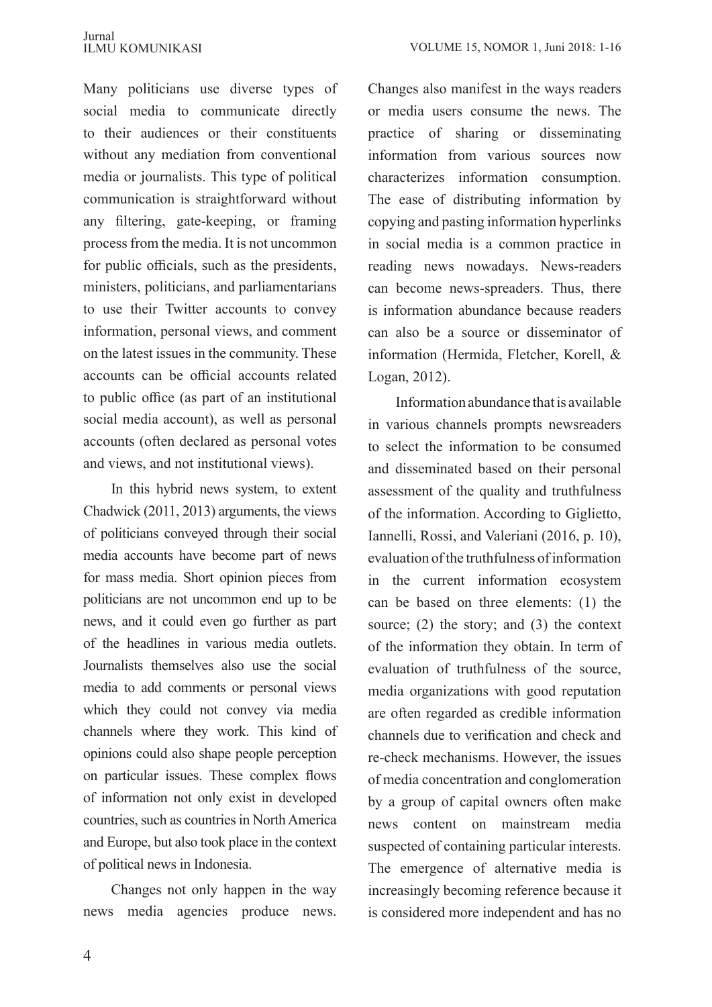Many politicians use diverse types of social media to communicate directly to their audiences or their constituents without any mediation from conventional media or journalists. This type of political communication is straightforward without any filtering, gate-keeping, or framing process from the media. It is not uncommon for public officials, such as the presidents, ministers, politicians, and parliamentarians to use their Twitter accounts to convey information, personal views, and comment on the latest issues in the community. These accounts can be official accounts related to public office (as part of an institutional social media account), as well as personal accounts (often declared as personal votes and views, and not institutional views).

In this hybrid news system, to extent Chadwick (2011, 2013) arguments, the views of politicians conveyed through their social media accounts have become part of news for mass media. Short opinion pieces from politicians are not uncommon end up to be news, and it could even go further as part of the headlines in various media outlets. Journalists themselves also use the social media to add comments or personal views which they could not convey via media channels where they work. This kind of opinions could also shape people perception on particular issues. These complex flows of information not only exist in developed countries, such as countries in North America and Europe, but also took place in the context of political news in Indonesia.

Changes not only happen in the way news media agencies produce news.

Changes also manifest in the ways readers or media users consume the news. The practice of sharing or disseminating information from various sources now characterizes information consumption. The ease of distributing information by copying and pasting information hyperlinks in social media is a common practice in reading news nowadays. News-readers can become news-spreaders. Thus, there is information abundance because readers can also be a source or disseminator of information (Hermida, Fletcher, Korell, & Logan, 2012).

Information abundance that is available in various channels prompts newsreaders to select the information to be consumed and disseminated based on their personal assessment of the quality and truthfulness of the information. According to Giglietto, Iannelli, Rossi, and Valeriani (2016, p. 10), evaluation of the truthfulness of information in the current information ecosystem can be based on three elements: (1) the source; (2) the story; and (3) the context of the information they obtain. In term of evaluation of truthfulness of the source, media organizations with good reputation are often regarded as credible information channels due to verification and check and re-check mechanisms. However, the issues of media concentration and conglomeration by a group of capital owners often make news content on mainstream media suspected of containing particular interests. The emergence of alternative media is increasingly becoming reference because it is considered more independent and has no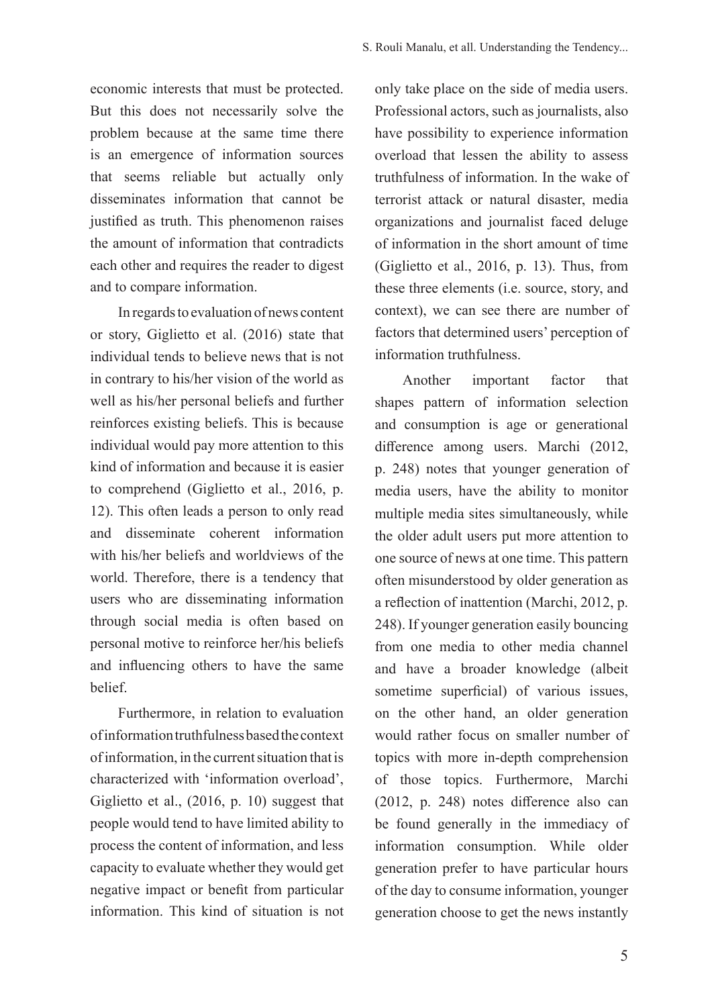economic interests that must be protected. But this does not necessarily solve the problem because at the same time there is an emergence of information sources that seems reliable but actually only disseminates information that cannot be justified as truth. This phenomenon raises the amount of information that contradicts each other and requires the reader to digest and to compare information.

In regards to evaluation of news content or story, Giglietto et al. (2016) state that individual tends to believe news that is not in contrary to his/her vision of the world as well as his/her personal beliefs and further reinforces existing beliefs. This is because individual would pay more attention to this kind of information and because it is easier to comprehend (Giglietto et al., 2016, p. 12). This often leads a person to only read and disseminate coherent information with his/her beliefs and worldviews of the world. Therefore, there is a tendency that users who are disseminating information through social media is often based on personal motive to reinforce her/his beliefs and influencing others to have the same belief.

Furthermore, in relation to evaluation of information truthfulness based the context of information, in the current situation that is characterized with 'information overload', Giglietto et al., (2016, p. 10) suggest that people would tend to have limited ability to process the content of information, and less capacity to evaluate whether they would get negative impact or benefit from particular information. This kind of situation is not only take place on the side of media users. Professional actors, such as journalists, also have possibility to experience information overload that lessen the ability to assess truthfulness of information. In the wake of terrorist attack or natural disaster, media organizations and journalist faced deluge of information in the short amount of time (Giglietto et al., 2016, p. 13). Thus, from these three elements (i.e. source, story, and context), we can see there are number of factors that determined users' perception of information truthfulness.

Another important factor that shapes pattern of information selection and consumption is age or generational difference among users. Marchi (2012, p. 248) notes that younger generation of media users, have the ability to monitor multiple media sites simultaneously, while the older adult users put more attention to one source of news at one time. This pattern often misunderstood by older generation as a reflection of inattention (Marchi, 2012, p. 248). If younger generation easily bouncing from one media to other media channel and have a broader knowledge (albeit sometime superficial) of various issues, on the other hand, an older generation would rather focus on smaller number of topics with more in-depth comprehension of those topics. Furthermore, Marchi (2012, p. 248) notes difference also can be found generally in the immediacy of information consumption. While older generation prefer to have particular hours of the day to consume information, younger generation choose to get the news instantly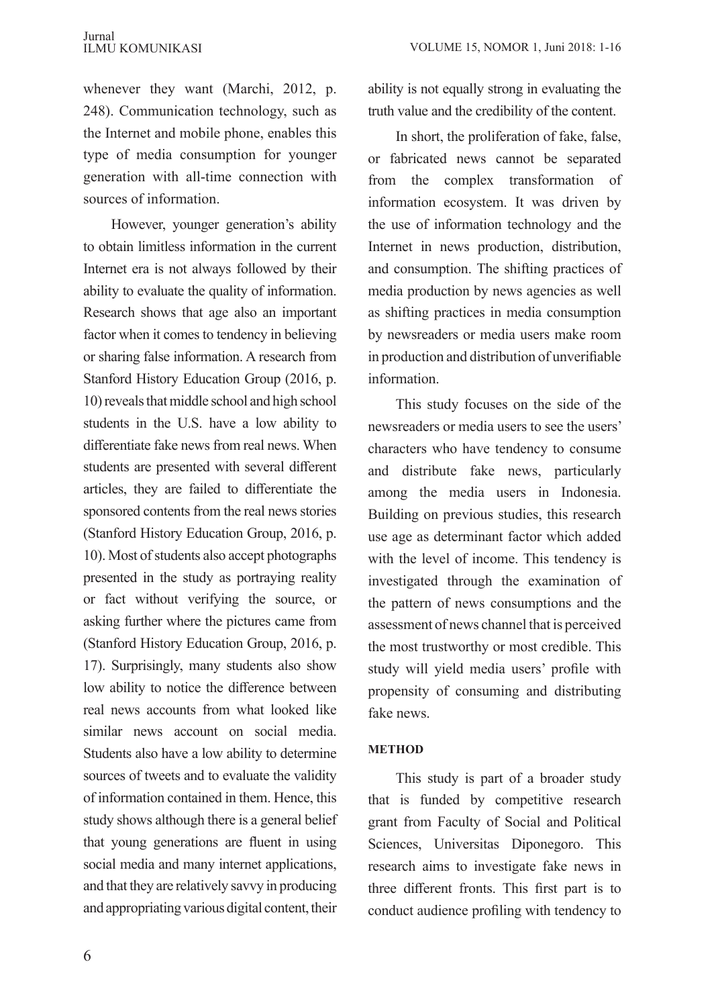whenever they want (Marchi, 2012, p. 248). Communication technology, such as the Internet and mobile phone, enables this type of media consumption for younger generation with all-time connection with sources of information.

However, younger generation's ability to obtain limitless information in the current Internet era is not always followed by their ability to evaluate the quality of information. Research shows that age also an important factor when it comes to tendency in believing or sharing false information. A research from Stanford History Education Group (2016, p. 10) reveals that middle school and high school students in the U.S. have a low ability to differentiate fake news from real news. When students are presented with several different articles, they are failed to differentiate the sponsored contents from the real news stories (Stanford History Education Group, 2016, p. 10). Most of students also accept photographs presented in the study as portraying reality or fact without verifying the source, or asking further where the pictures came from (Stanford History Education Group, 2016, p. 17). Surprisingly, many students also show low ability to notice the difference between real news accounts from what looked like similar news account on social media. Students also have a low ability to determine sources of tweets and to evaluate the validity of information contained in them. Hence, this study shows although there is a general belief that young generations are fluent in using social media and many internet applications, and that they are relatively savvy in producing and appropriating various digital content, their ability is not equally strong in evaluating the truth value and the credibility of the content.

In short, the proliferation of fake, false, or fabricated news cannot be separated from the complex transformation of information ecosystem. It was driven by the use of information technology and the Internet in news production, distribution, and consumption. The shifting practices of media production by news agencies as well as shifting practices in media consumption by newsreaders or media users make room in production and distribution of unverifiable information.

This study focuses on the side of the newsreaders or media users to see the users' characters who have tendency to consume and distribute fake news, particularly among the media users in Indonesia. Building on previous studies, this research use age as determinant factor which added with the level of income. This tendency is investigated through the examination of the pattern of news consumptions and the assessment of news channel that is perceived the most trustworthy or most credible. This study will yield media users' profile with propensity of consuming and distributing fake news.

## **METHOD**

This study is part of a broader study that is funded by competitive research grant from Faculty of Social and Political Sciences, Universitas Diponegoro. This research aims to investigate fake news in three different fronts. This first part is to conduct audience profiling with tendency to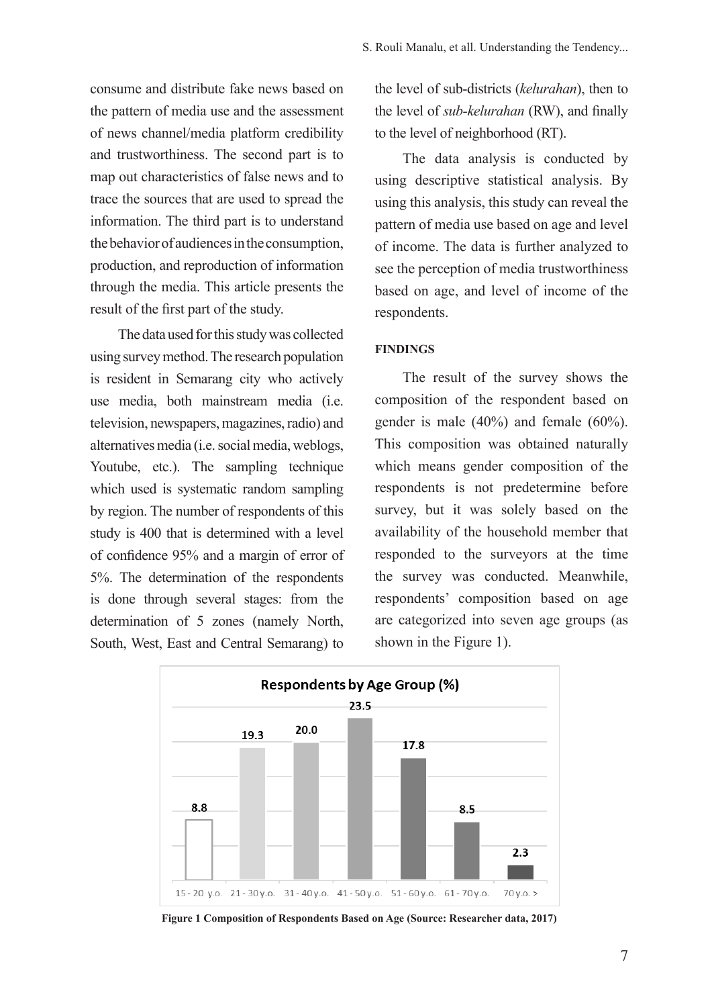consume and distribute fake news based on the pattern of media use and the assessment of news channel/media platform credibility and trustworthiness. The second part is to map out characteristics of false news and to trace the sources that are used to spread the information. The third part is to understand the behavior of audiences in the consumption, production, and reproduction of information through the media. This article presents the result of the first part of the study.

The data used for this study was collected using survey method. The research population is resident in Semarang city who actively use media, both mainstream media (i.e. television, newspapers, magazines, radio) and alternatives media (i.e. social media, weblogs, Youtube, etc.). The sampling technique which used is systematic random sampling by region. The number of respondents of this study is 400 that is determined with a level of confidence 95% and a margin of error of 5%. The determination of the respondents is done through several stages: from the determination of 5 zones (namely North, South, West, East and Central Semarang) to

the level of sub-districts (*kelurahan*), then to the level of *sub-kelurahan* (RW), and finally to the level of neighborhood (RT).

The data analysis is conducted by using descriptive statistical analysis. By using this analysis, this study can reveal the pattern of media use based on age and level of income. The data is further analyzed to see the perception of media trustworthiness based on age, and level of income of the respondents.

### **FINDINGS**

The result of the survey shows the composition of the respondent based on gender is male (40%) and female (60%). This composition was obtained naturally which means gender composition of the respondents is not predetermine before survey, but it was solely based on the availability of the household member that responded to the surveyors at the time the survey was conducted. Meanwhile, respondents' composition based on age are categorized into seven age groups (as shown in the Figure 1).



**Figure 1 Composition of Respondents Based on Age (Source: Researcher data, 2017)**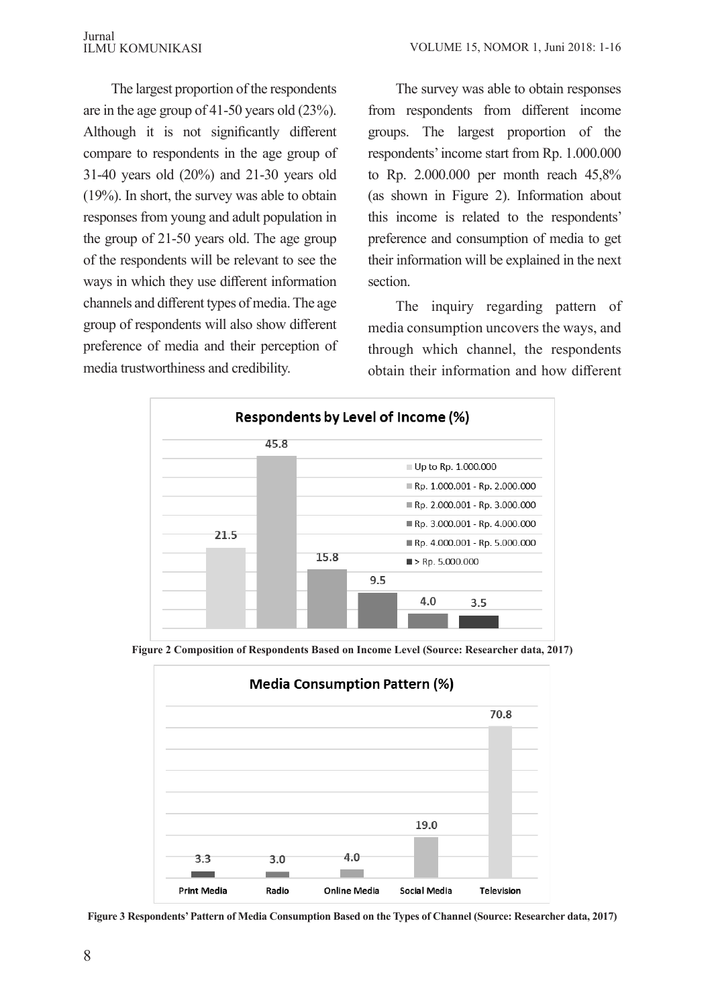The largest proportion of the respondents are in the age group of 41-50 years old (23%). Although it is not significantly different compare to respondents in the age group of 31-40 years old (20%) and 21-30 years old (19%). In short, the survey was able to obtain responses from young and adult population in the group of 21-50 years old. The age group of the respondents will be relevant to see the ways in which they use different information channels and different types of media. The age group of respondents will also show different preference of media and their perception of media trustworthiness and credibility.

The survey was able to obtain responses from respondents from different income groups. The largest proportion of the respondents' income start from Rp. 1.000.000 to Rp. 2.000.000 per month reach 45,8% (as shown in Figure 2). Information about this income is related to the respondents' preference and consumption of media to get their information will be explained in the next section.

The inquiry regarding pattern of media consumption uncovers the ways, and through which channel, the respondents obtain their information and how different



**Figure 2 Composition of Respondents Based on Income Level (Source: Researcher data, 2017)**



**Figure 3 Respondents' Pattern of Media Consumption Based on the Types of Channel (Source: Researcher data, 2017)**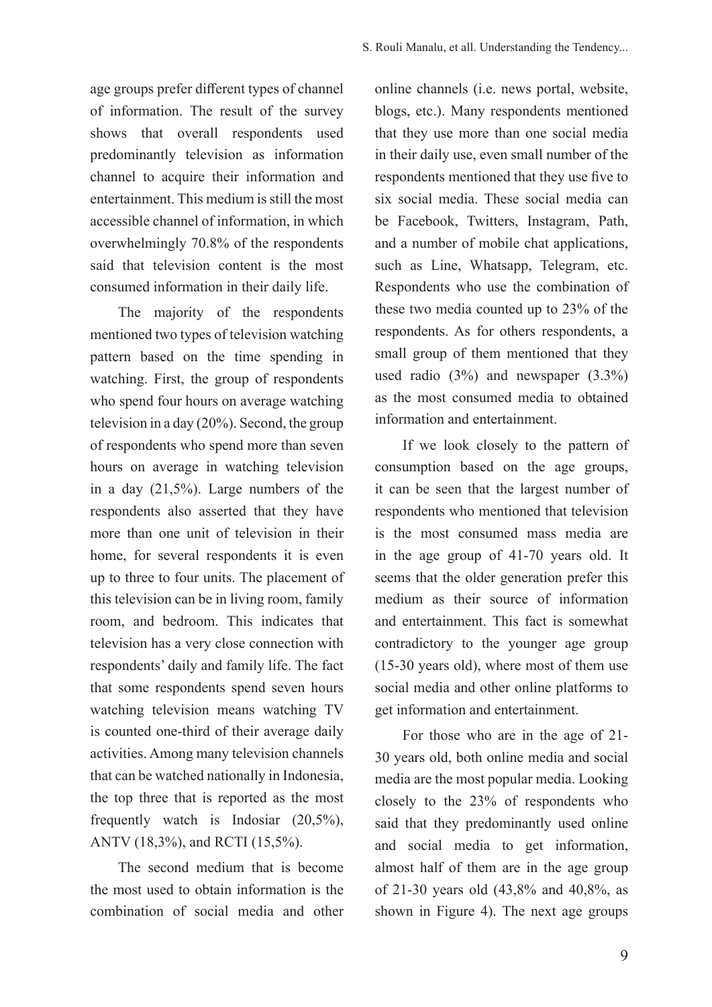age groups prefer different types of channel of information. The result of the survey shows that overall respondents used predominantly television as information channel to acquire their information and entertainment. This medium is still the most accessible channel of information, in which overwhelmingly 70.8% of the respondents said that television content is the most consumed information in their daily life.

The majority of the respondents mentioned two types of television watching pattern based on the time spending in watching. First, the group of respondents who spend four hours on average watching television in a day (20%). Second, the group of respondents who spend more than seven hours on average in watching television in a day (21,5%). Large numbers of the respondents also asserted that they have more than one unit of television in their home, for several respondents it is even up to three to four units. The placement of this television can be in living room, family room, and bedroom. This indicates that television has a very close connection with respondents' daily and family life. The fact that some respondents spend seven hours watching television means watching TV is counted one-third of their average daily activities. Among many television channels that can be watched nationally in Indonesia, the top three that is reported as the most frequently watch is Indosiar (20,5%), ANTV (18,3%), and RCTI (15,5%).

The second medium that is become the most used to obtain information is the combination of social media and other online channels (i.e. news portal, website, blogs, etc.). Many respondents mentioned that they use more than one social media in their daily use, even small number of the respondents mentioned that they use five to six social media. These social media can be Facebook, Twitters, Instagram, Path, and a number of mobile chat applications, such as Line, Whatsapp, Telegram, etc. Respondents who use the combination of these two media counted up to 23% of the respondents. As for others respondents, a small group of them mentioned that they used radio (3%) and newspaper (3.3%) as the most consumed media to obtained information and entertainment.

If we look closely to the pattern of consumption based on the age groups, it can be seen that the largest number of respondents who mentioned that television is the most consumed mass media are in the age group of 41-70 years old. It seems that the older generation prefer this medium as their source of information and entertainment. This fact is somewhat contradictory to the younger age group (15-30 years old), where most of them use social media and other online platforms to get information and entertainment.

For those who are in the age of 21- 30 years old, both online media and social media are the most popular media. Looking closely to the 23% of respondents who said that they predominantly used online and social media to get information, almost half of them are in the age group of 21-30 years old (43,8% and 40,8%, as shown in Figure 4). The next age groups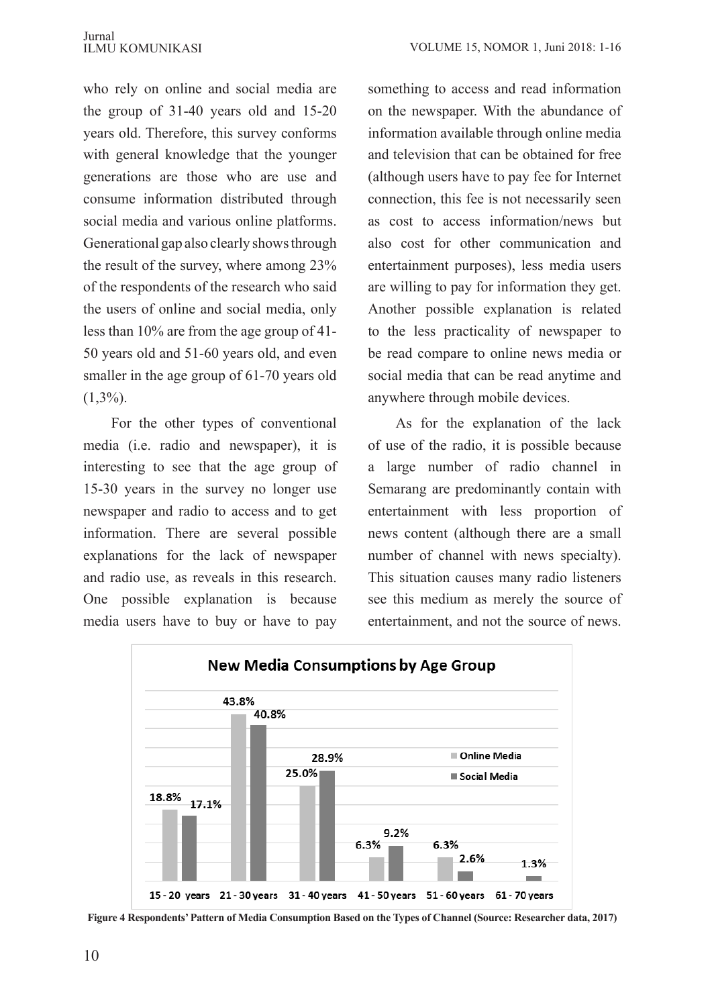who rely on online and social media are the group of 31-40 years old and 15-20 years old. Therefore, this survey conforms with general knowledge that the younger generations are those who are use and consume information distributed through social media and various online platforms. Generational gap also clearly shows through the result of the survey, where among 23% of the respondents of the research who said the users of online and social media, only less than 10% are from the age group of 41- 50 years old and 51-60 years old, and even smaller in the age group of 61-70 years old  $(1,3\%)$ .

For the other types of conventional media (i.e. radio and newspaper), it is interesting to see that the age group of 15-30 years in the survey no longer use newspaper and radio to access and to get information. There are several possible explanations for the lack of newspaper and radio use, as reveals in this research. One possible explanation is because media users have to buy or have to pay

something to access and read information on the newspaper. With the abundance of information available through online media and television that can be obtained for free (although users have to pay fee for Internet connection, this fee is not necessarily seen as cost to access information/news but also cost for other communication and entertainment purposes), less media users are willing to pay for information they get. Another possible explanation is related to the less practicality of newspaper to be read compare to online news media or social media that can be read anytime and anywhere through mobile devices.

As for the explanation of the lack of use of the radio, it is possible because a large number of radio channel in Semarang are predominantly contain with entertainment with less proportion of news content (although there are a small number of channel with news specialty). This situation causes many radio listeners see this medium as merely the source of entertainment, and not the source of news.



**Figure 4 Respondents' Pattern of Media Consumption Based on the Types of Channel (Source: Researcher data, 2017)**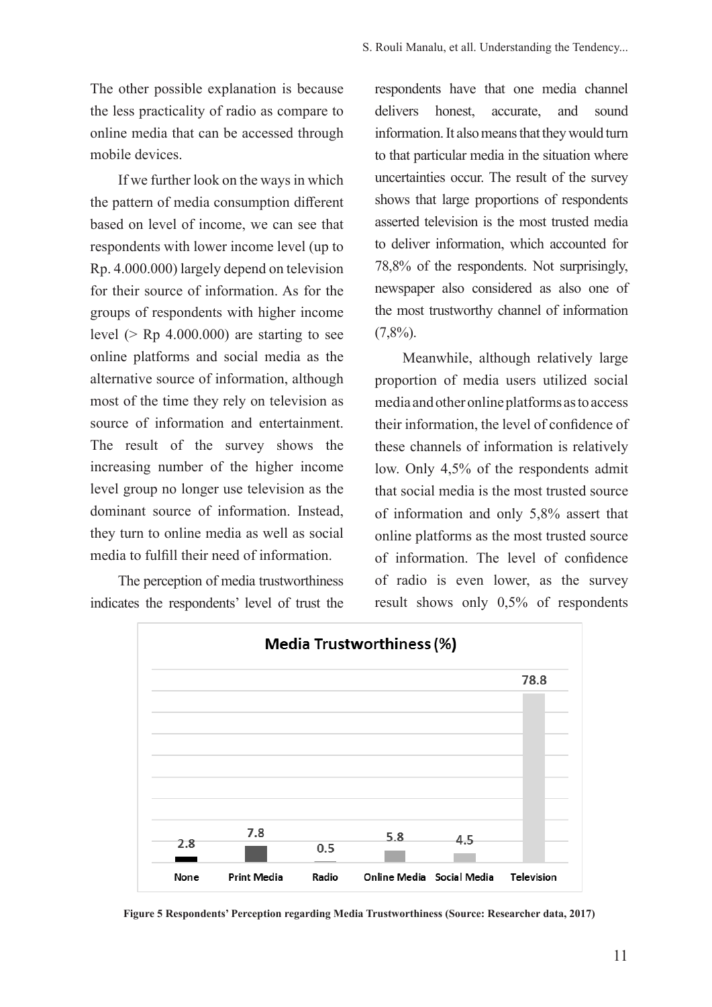The other possible explanation is because the less practicality of radio as compare to online media that can be accessed through mobile devices.

If we further look on the ways in which the pattern of media consumption different based on level of income, we can see that respondents with lower income level (up to Rp. 4.000.000) largely depend on television for their source of information. As for the groups of respondents with higher income level ( $>$  Rp 4.000.000) are starting to see online platforms and social media as the alternative source of information, although most of the time they rely on television as source of information and entertainment. The result of the survey shows the increasing number of the higher income level group no longer use television as the dominant source of information. Instead, they turn to online media as well as social media to fulfill their need of information.

The perception of media trustworthiness indicates the respondents' level of trust the

respondents have that one media channel delivers honest, accurate, and sound information. It also means that they would turn to that particular media in the situation where uncertainties occur. The result of the survey shows that large proportions of respondents asserted television is the most trusted media to deliver information, which accounted for 78,8% of the respondents. Not surprisingly, newspaper also considered as also one of the most trustworthy channel of information  $(7,8\%)$ .

Meanwhile, although relatively large proportion of media users utilized social media and other online platforms as to access their information, the level of confidence of these channels of information is relatively low. Only 4,5% of the respondents admit that social media is the most trusted source of information and only 5,8% assert that online platforms as the most trusted source of information. The level of confidence of radio is even lower, as the survey result shows only 0,5% of respondents



**Figure 5 Respondents' Perception regarding Media Trustworthiness (Source: Researcher data, 2017)**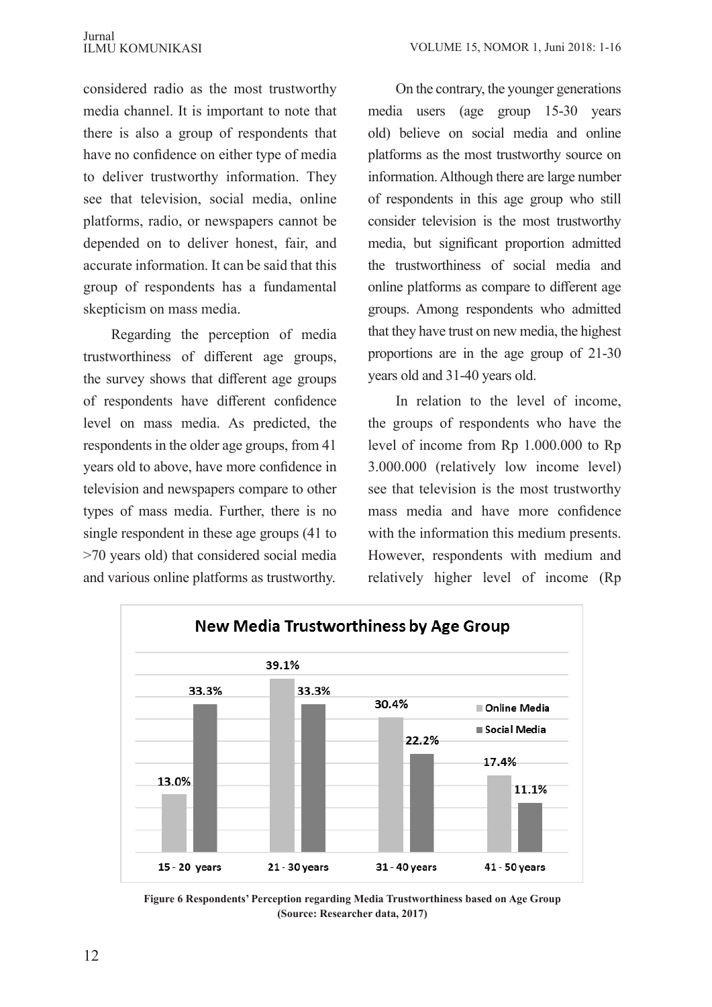considered radio as the most trustworthy media channel. It is important to note that there is also a group of respondents that have no confidence on either type of media to deliver trustworthy information. They see that television, social media, online platforms, radio, or newspapers cannot be depended on to deliver honest, fair, and accurate information. It can be said that this group of respondents has a fundamental skepticism on mass media.

Regarding the perception of media trustworthiness of different age groups, the survey shows that different age groups of respondents have different confidence level on mass media. As predicted, the respondents in the older age groups, from 41 years old to above, have more confidence in television and newspapers compare to other types of mass media. Further, there is no single respondent in these age groups (41 to >70 years old) that considered social media and various online platforms as trustworthy.

On the contrary, the younger generations media users (age group 15-30 years old) believe on social media and online platforms as the most trustworthy source on information. Although there are large number of respondents in this age group who still consider television is the most trustworthy media, but significant proportion admitted the trustworthiness of social media and online platforms as compare to different age groups. Among respondents who admitted that they have trust on new media, the highest proportions are in the age group of 21-30 years old and 31-40 years old.

In relation to the level of income, the groups of respondents who have the level of income from Rp 1.000.000 to Rp 3.000.000 (relatively low income level) see that television is the most trustworthy mass media and have more confidence with the information this medium presents. However, respondents with medium and relatively higher level of income (Rp



**Figure 6 Respondents' Perception regarding Media Trustworthiness based on Age Group (Source: Researcher data, 2017)**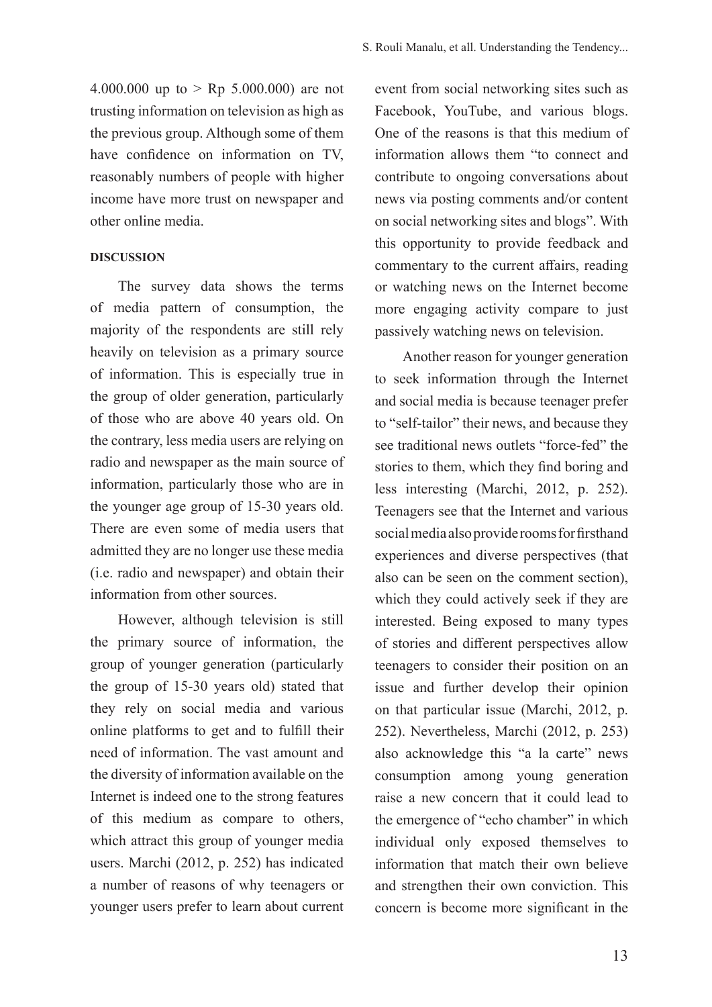4.000.000 up to  $>$  Rp 5.000.000) are not trusting information on television as high as the previous group. Although some of them have confidence on information on TV, reasonably numbers of people with higher income have more trust on newspaper and other online media.

## **DISCUSSION**

The survey data shows the terms of media pattern of consumption, the majority of the respondents are still rely heavily on television as a primary source of information. This is especially true in the group of older generation, particularly of those who are above 40 years old. On the contrary, less media users are relying on radio and newspaper as the main source of information, particularly those who are in the younger age group of 15-30 years old. There are even some of media users that admitted they are no longer use these media (i.e. radio and newspaper) and obtain their information from other sources.

However, although television is still the primary source of information, the group of younger generation (particularly the group of 15-30 years old) stated that they rely on social media and various online platforms to get and to fulfill their need of information. The vast amount and the diversity of information available on the Internet is indeed one to the strong features of this medium as compare to others, which attract this group of younger media users. Marchi (2012, p. 252) has indicated a number of reasons of why teenagers or younger users prefer to learn about current

event from social networking sites such as Facebook, YouTube, and various blogs. One of the reasons is that this medium of information allows them "to connect and contribute to ongoing conversations about news via posting comments and/or content on social networking sites and blogs". With this opportunity to provide feedback and commentary to the current affairs, reading or watching news on the Internet become more engaging activity compare to just passively watching news on television.

Another reason for younger generation to seek information through the Internet and social media is because teenager prefer to "self-tailor" their news, and because they see traditional news outlets "force-fed" the stories to them, which they find boring and less interesting (Marchi, 2012, p. 252). Teenagers see that the Internet and various social media also provide rooms for firsthand experiences and diverse perspectives (that also can be seen on the comment section), which they could actively seek if they are interested. Being exposed to many types of stories and different perspectives allow teenagers to consider their position on an issue and further develop their opinion on that particular issue (Marchi, 2012, p. 252). Nevertheless, Marchi (2012, p. 253) also acknowledge this "a la carte" news consumption among young generation raise a new concern that it could lead to the emergence of "echo chamber" in which individual only exposed themselves to information that match their own believe and strengthen their own conviction. This concern is become more significant in the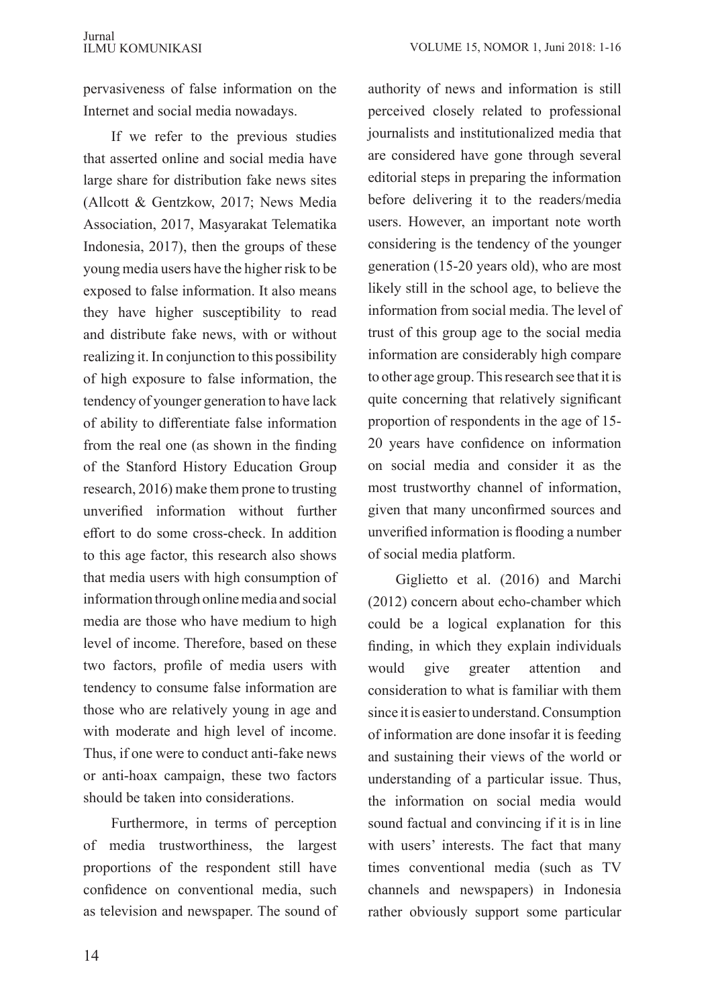pervasiveness of false information on the Internet and social media nowadays.

If we refer to the previous studies that asserted online and social media have large share for distribution fake news sites (Allcott & Gentzkow, 2017; News Media Association, 2017, Masyarakat Telematika Indonesia, 2017), then the groups of these young media users have the higher risk to be exposed to false information. It also means they have higher susceptibility to read and distribute fake news, with or without realizing it. In conjunction to this possibility of high exposure to false information, the tendency of younger generation to have lack of ability to differentiate false information from the real one (as shown in the finding of the Stanford History Education Group research, 2016) make them prone to trusting unverified information without further effort to do some cross-check. In addition to this age factor, this research also shows that media users with high consumption of information through online media and social media are those who have medium to high level of income. Therefore, based on these two factors, profile of media users with tendency to consume false information are those who are relatively young in age and with moderate and high level of income. Thus, if one were to conduct anti-fake news or anti-hoax campaign, these two factors should be taken into considerations.

Furthermore, in terms of perception of media trustworthiness, the largest proportions of the respondent still have confidence on conventional media, such as television and newspaper. The sound of authority of news and information is still perceived closely related to professional journalists and institutionalized media that are considered have gone through several editorial steps in preparing the information before delivering it to the readers/media users. However, an important note worth considering is the tendency of the younger generation (15-20 years old), who are most likely still in the school age, to believe the information from social media. The level of trust of this group age to the social media information are considerably high compare to other age group. This research see that it is quite concerning that relatively significant proportion of respondents in the age of 15- 20 years have confidence on information on social media and consider it as the most trustworthy channel of information, given that many unconfirmed sources and unverified information is flooding a number of social media platform.

Giglietto et al. (2016) and Marchi (2012) concern about echo-chamber which could be a logical explanation for this finding, in which they explain individuals would give greater attention and consideration to what is familiar with them since it is easier to understand. Consumption of information are done insofar it is feeding and sustaining their views of the world or understanding of a particular issue. Thus, the information on social media would sound factual and convincing if it is in line with users' interests. The fact that many times conventional media (such as TV channels and newspapers) in Indonesia rather obviously support some particular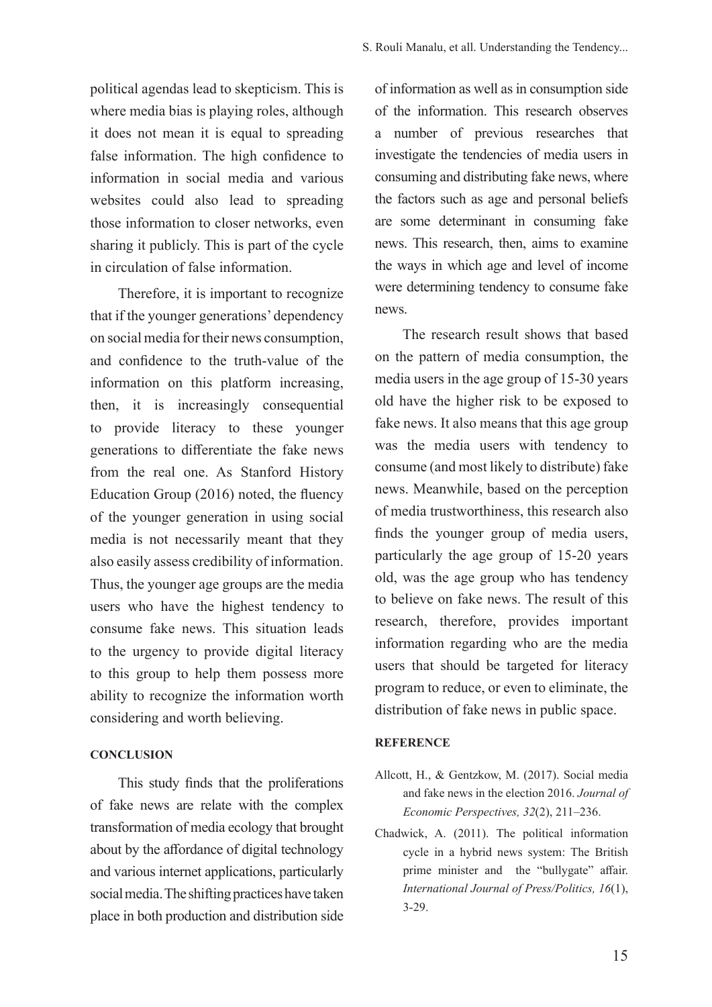political agendas lead to skepticism. This is where media bias is playing roles, although it does not mean it is equal to spreading false information. The high confidence to information in social media and various websites could also lead to spreading those information to closer networks, even sharing it publicly. This is part of the cycle in circulation of false information.

Therefore, it is important to recognize that if the younger generations' dependency on social media for their news consumption, and confidence to the truth-value of the information on this platform increasing, then, it is increasingly consequential to provide literacy to these younger generations to differentiate the fake news from the real one. As Stanford History Education Group (2016) noted, the fluency of the younger generation in using social media is not necessarily meant that they also easily assess credibility of information. Thus, the younger age groups are the media users who have the highest tendency to consume fake news. This situation leads to the urgency to provide digital literacy to this group to help them possess more ability to recognize the information worth considering and worth believing.

## **CONCLUSION**

This study finds that the proliferations of fake news are relate with the complex transformation of media ecology that brought about by the affordance of digital technology and various internet applications, particularly social media. The shifting practices have taken place in both production and distribution side of information as well as in consumption side of the information. This research observes a number of previous researches that investigate the tendencies of media users in consuming and distributing fake news, where the factors such as age and personal beliefs are some determinant in consuming fake news. This research, then, aims to examine the ways in which age and level of income were determining tendency to consume fake news.

The research result shows that based on the pattern of media consumption, the media users in the age group of 15-30 years old have the higher risk to be exposed to fake news. It also means that this age group was the media users with tendency to consume (and most likely to distribute) fake news. Meanwhile, based on the perception of media trustworthiness, this research also finds the younger group of media users, particularly the age group of 15-20 years old, was the age group who has tendency to believe on fake news. The result of this research, therefore, provides important information regarding who are the media users that should be targeted for literacy program to reduce, or even to eliminate, the distribution of fake news in public space.

## **REFERENCE**

- Allcott, H., & Gentzkow, M. (2017). Social media and fake news in the election 2016. *Journal of Economic Perspectives, 32*(2), 211–236.
- Chadwick, A. (2011). The political information cycle in a hybrid news system: The British prime minister and the "bullygate" affair. *International Journal of Press/Politics, 16*(1), 3-29.